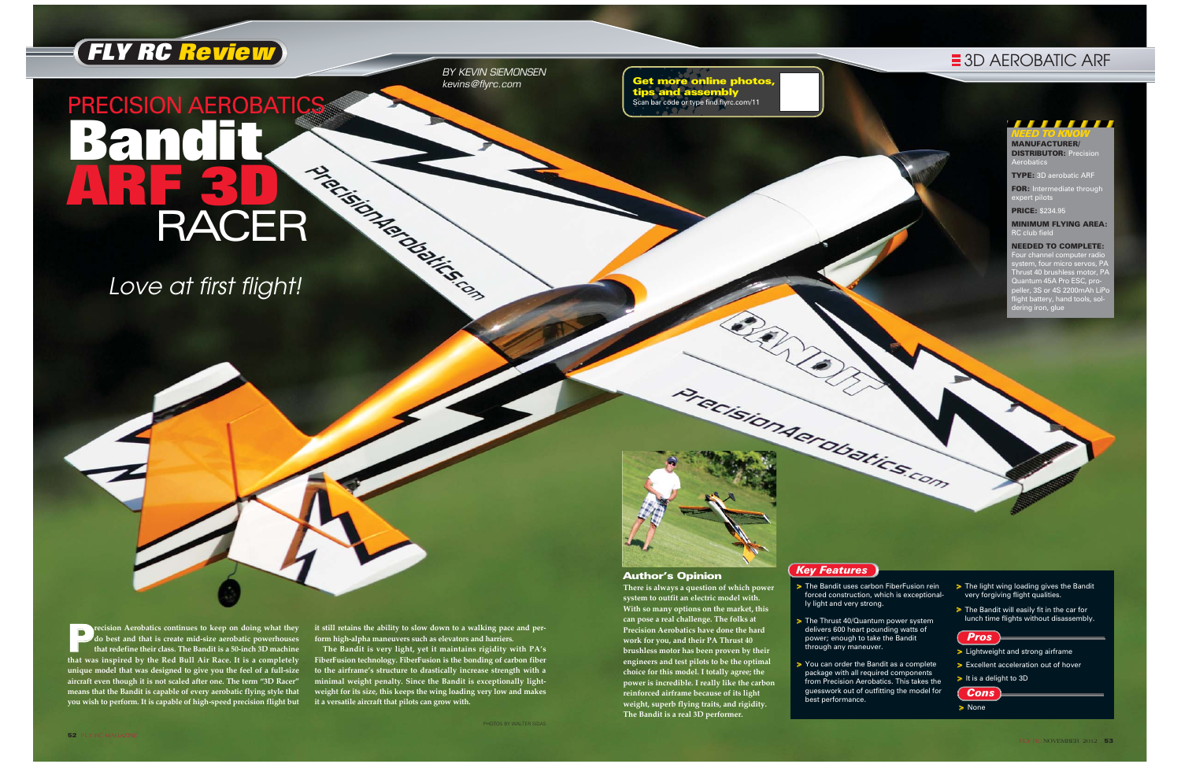P**recision Aerobatics continues to keep on doing what they do best and that is create mid-size aerobatic powerhouses that redefine their class. The Bandit is a 50-inch 3D machine that was inspired by the Red Bull Air Race. It is a completely unique model that was designed to give you the feel of a full-size aircraft even though it is not scaled after one. The term "3D Racer" means that the Bandit is capable of every aerobatic flying style that you wish to perform. It is capable of high-speed precision flight but** > The Bandit uses carbon FiberFusion rein forced construction, which is exceptional-

> The Thrust 40/Quantum power system

**it still retains the ability to slow down to a walking pace and perform high-alpha maneuvers such as elevators and harriers.** 

> > You can order the Bandit as a complete package with all required components from Precision Aerobatics. This takes the guesswork out of outfitting the model for

- > The light wing loading gives the Bandit very forgiving flight qualities.
- > The Bandit will easily fit in the car for lunch time flights without disassembly.

**The Bandit is very light, yet it maintains rigidity with PA's FiberFusion technology. FiberFusion is the bonding of carbon fiber to the airframe's structure to drastically increase strength with a minimal weight penalty. Since the Bandit is exceptionally lightweight for its size, this keeps the wing loading very low and makes it a versatile aircraft that pilots can grow with.**



## ,,,,,,,, *NEED TO KNOW*

**FOR:** Intermediate through expert pilots

MINIMUM FLYING AREA:  $RC$  club fiel

Four channel computer radio system, four micro servos, PA Thrust 40 brushless motor, PA um 45A Pro ESC, pro peller, 3S or 4S 2200mAh LiPo flight battery, hand tools, sol-... sa..... , , .....<br>ing iron, glue

BY KEVIN SIEMONSEN kevins@flyrc.com

- ly light and very strong.
- delivers 600 heart pounding watts of power; enough to take the Bandit through any maneuver.
- best performance.

## $\equiv$  **3D AEROBATIC ARF**

# RACER Presidents PRECISION AEROBATICS **Bandit ARF 3D**  RACER

MANUFACTURER/ **DISTRIBUTOR: Prec** Aerobatics

TYPE: 3D aerobatic ARF

PRICE: \$234.95

## NEEDED TO COMPLETE:

*Pros*

- > Lightweight and strong airframe
- > Excellent acceleration out of hover
- > It is a delight to 3D





## Author's Opinion

**There is always a question of which power system to outfit an electric model with. With so many options on the market, this can pose a real challenge. The folks at Precision Aerobatics have done the hard work for you, and their PA Thrust 40 brushless motor has been proven by their engineers and test pilots to be the optimal choice for this model. I totally agree; the power is incredible. I really like the carbon reinforced airframe because of its light weight, superb flying traits, and rigidity. The Bandit is a real 3D performer.**

> None

## *Key Features*

Get more online photos, tips and assembly Scan bar code or type find.flyrc.com/11